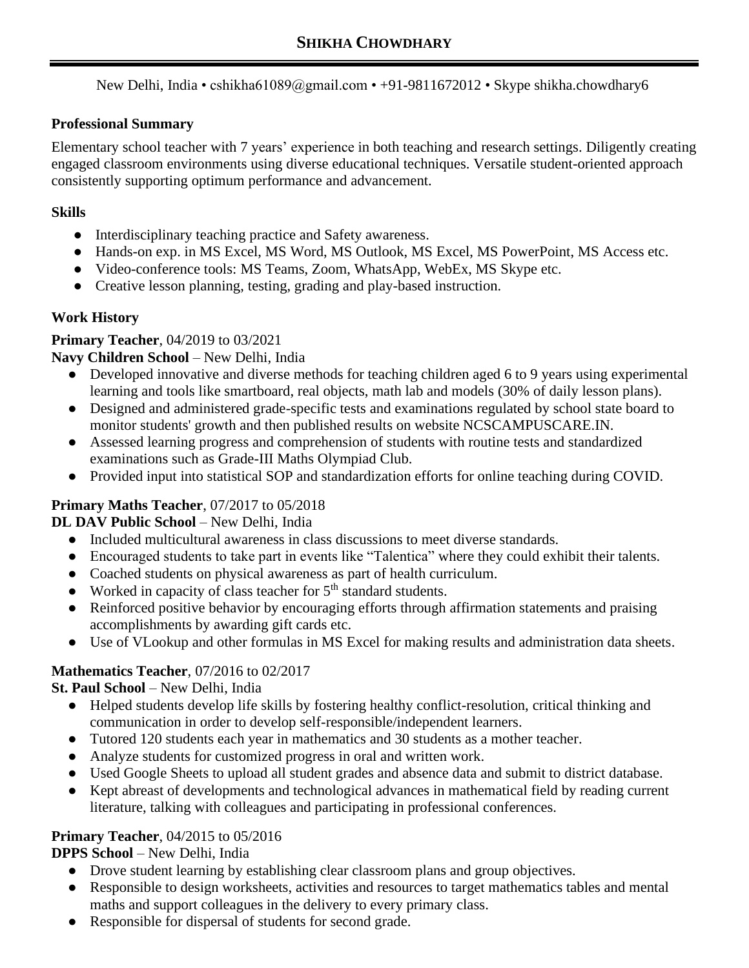New Delhi, India • cshikha61089@gmail.com • +91-9811672012 • Skype shikha.chowdhary6

#### **Professional Summary**

Elementary school teacher with 7 years' experience in both teaching and research settings. Diligently creating engaged classroom environments using diverse educational techniques. Versatile student-oriented approach consistently supporting optimum performance and advancement.

#### **Skills**

- **●** Interdisciplinary teaching practice and Safety awareness.
- Hands-on exp. in MS Excel, MS Word, MS Outlook, MS Excel, MS PowerPoint, MS Access etc.
- Video-conference tools: MS Teams, Zoom, WhatsApp, WebEx, MS Skype etc.
- Creative lesson planning, testing, grading and play-based instruction.

## **Work History**

### **Primary Teacher**, 04/2019 to 03/2021

### **Navy Children School** – New Delhi, India

- Developed innovative and diverse methods for teaching children aged 6 to 9 years using experimental learning and tools like smartboard, real objects, math lab and models (30% of daily lesson plans).
- Designed and administered grade-specific tests and examinations regulated by school state board to monitor students' growth and then published results on website NCSCAMPUSCARE.IN.
- Assessed learning progress and comprehension of students with routine tests and standardized examinations such as Grade-III Maths Olympiad Club.
- Provided input into statistical SOP and standardization efforts for online teaching during COVID.

# **Primary Maths Teacher**, 07/2017 to 05/2018

### **DL DAV Public School** – New Delhi, India

- Included multicultural awareness in class discussions to meet diverse standards.
- Encouraged students to take part in events like "Talentica" where they could exhibit their talents.
- Coached students on physical awareness as part of health curriculum.
- $\bullet$  Worked in capacity of class teacher for  $5<sup>th</sup>$  standard students.
- Reinforced positive behavior by encouraging efforts through affirmation statements and praising accomplishments by awarding gift cards etc.
- Use of VLookup and other formulas in MS Excel for making results and administration data sheets.

### **Mathematics Teacher**, 07/2016 to 02/2017

### **St. Paul School** – New Delhi, India

- Helped students develop life skills by fostering healthy conflict-resolution, critical thinking and communication in order to develop self-responsible/independent learners.
- Tutored 120 students each year in mathematics and 30 students as a mother teacher.
- Analyze students for customized progress in oral and written work.
- Used Google Sheets to upload all student grades and absence data and submit to district database.
- Kept abreast of developments and technological advances in mathematical field by reading current literature, talking with colleagues and participating in professional conferences.

### **Primary Teacher**, 04/2015 to 05/2016

### **DPPS School** – New Delhi, India

- Drove student learning by establishing clear classroom plans and group objectives.
- Responsible to design worksheets, activities and resources to target mathematics tables and mental maths and support colleagues in the delivery to every primary class.
- Responsible for dispersal of students for second grade.